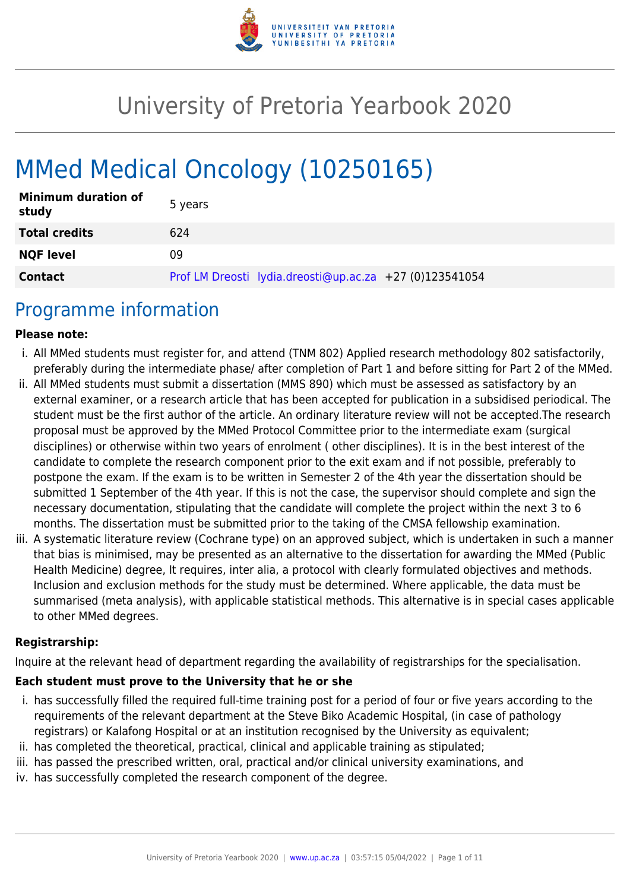

# University of Pretoria Yearbook 2020

# MMed Medical Oncology (10250165)

| <b>Minimum duration of</b><br>study | 5 years                                                 |
|-------------------------------------|---------------------------------------------------------|
| <b>Total credits</b>                | 624                                                     |
| <b>NQF level</b>                    | 09                                                      |
| <b>Contact</b>                      | Prof LM Dreosti lydia.dreosti@up.ac.za +27 (0)123541054 |

### Programme information

#### **Please note:**

- i. All MMed students must register for, and attend (TNM 802) Applied research methodology 802 satisfactorily, preferably during the intermediate phase/ after completion of Part 1 and before sitting for Part 2 of the MMed.
- ii. All MMed students must submit a dissertation (MMS 890) which must be assessed as satisfactory by an external examiner, or a research article that has been accepted for publication in a subsidised periodical. The student must be the first author of the article. An ordinary literature review will not be accepted.The research proposal must be approved by the MMed Protocol Committee prior to the intermediate exam (surgical disciplines) or otherwise within two years of enrolment ( other disciplines). It is in the best interest of the candidate to complete the research component prior to the exit exam and if not possible, preferably to postpone the exam. If the exam is to be written in Semester 2 of the 4th year the dissertation should be submitted 1 September of the 4th year. If this is not the case, the supervisor should complete and sign the necessary documentation, stipulating that the candidate will complete the project within the next 3 to 6 months. The dissertation must be submitted prior to the taking of the CMSA fellowship examination.
- iii. A systematic literature review (Cochrane type) on an approved subject, which is undertaken in such a manner that bias is minimised, may be presented as an alternative to the dissertation for awarding the MMed (Public Health Medicine) degree, It requires, inter alia, a protocol with clearly formulated objectives and methods. Inclusion and exclusion methods for the study must be determined. Where applicable, the data must be summarised (meta analysis), with applicable statistical methods. This alternative is in special cases applicable to other MMed degrees.

#### **Registrarship:**

Inquire at the relevant head of department regarding the availability of registrarships for the specialisation.

#### **Each student must prove to the University that he or she**

- i. has successfully filled the required full-time training post for a period of four or five years according to the requirements of the relevant department at the Steve Biko Academic Hospital, (in case of pathology registrars) or Kalafong Hospital or at an institution recognised by the University as equivalent;
- ii. has completed the theoretical, practical, clinical and applicable training as stipulated;
- iii. has passed the prescribed written, oral, practical and/or clinical university examinations, and
- iv. has successfully completed the research component of the degree.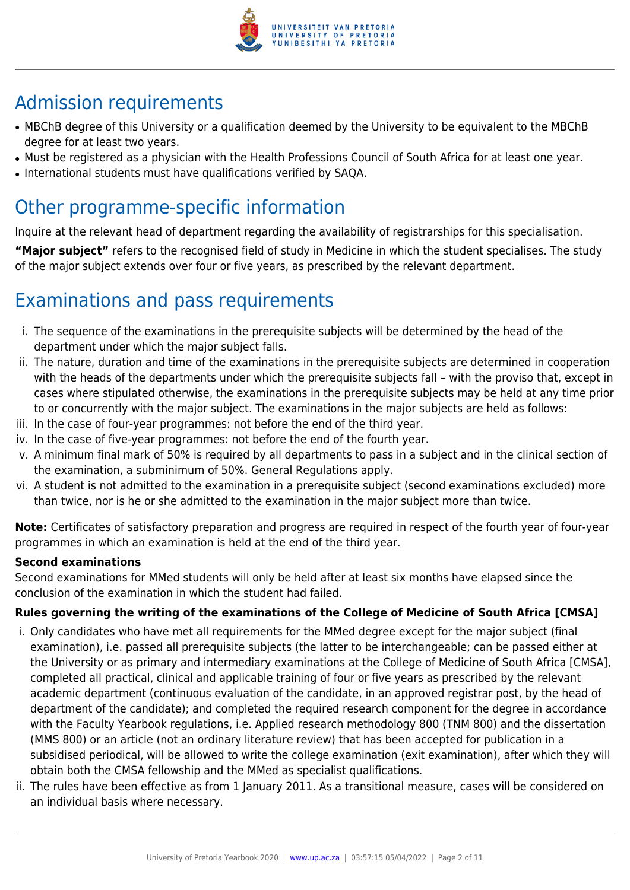

# Admission requirements

- MBChB degree of this University or a qualification deemed by the University to be equivalent to the MBChB degree for at least two years.
- Must be registered as a physician with the Health Professions Council of South Africa for at least one year.
- International students must have qualifications verified by SAQA.

### Other programme-specific information

Inquire at the relevant head of department regarding the availability of registrarships for this specialisation.

**"Major subject"** refers to the recognised field of study in Medicine in which the student specialises. The study of the major subject extends over four or five years, as prescribed by the relevant department.

# Examinations and pass requirements

- i. The sequence of the examinations in the prerequisite subjects will be determined by the head of the department under which the major subject falls.
- ii. The nature, duration and time of the examinations in the prerequisite subjects are determined in cooperation with the heads of the departments under which the prerequisite subjects fall – with the proviso that, except in cases where stipulated otherwise, the examinations in the prerequisite subjects may be held at any time prior to or concurrently with the major subject. The examinations in the major subjects are held as follows:
- iii. In the case of four-year programmes: not before the end of the third year.
- iv. In the case of five-year programmes: not before the end of the fourth year.
- v. A minimum final mark of 50% is required by all departments to pass in a subject and in the clinical section of the examination, a subminimum of 50%. General Regulations apply.
- vi. A student is not admitted to the examination in a prerequisite subject (second examinations excluded) more than twice, nor is he or she admitted to the examination in the major subject more than twice.

**Note:** Certificates of satisfactory preparation and progress are required in respect of the fourth year of four-year programmes in which an examination is held at the end of the third year.

#### **Second examinations**

Second examinations for MMed students will only be held after at least six months have elapsed since the conclusion of the examination in which the student had failed.

#### **Rules governing the writing of the examinations of the College of Medicine of South Africa [CMSA]**

- i. Only candidates who have met all requirements for the MMed degree except for the major subject (final examination), i.e. passed all prerequisite subjects (the latter to be interchangeable; can be passed either at the University or as primary and intermediary examinations at the College of Medicine of South Africa [CMSA], completed all practical, clinical and applicable training of four or five years as prescribed by the relevant academic department (continuous evaluation of the candidate, in an approved registrar post, by the head of department of the candidate); and completed the required research component for the degree in accordance with the Faculty Yearbook regulations, i.e. Applied research methodology 800 (TNM 800) and the dissertation (MMS 800) or an article (not an ordinary literature review) that has been accepted for publication in a subsidised periodical, will be allowed to write the college examination (exit examination), after which they will obtain both the CMSA fellowship and the MMed as specialist qualifications.
- ii. The rules have been effective as from 1 January 2011. As a transitional measure, cases will be considered on an individual basis where necessary.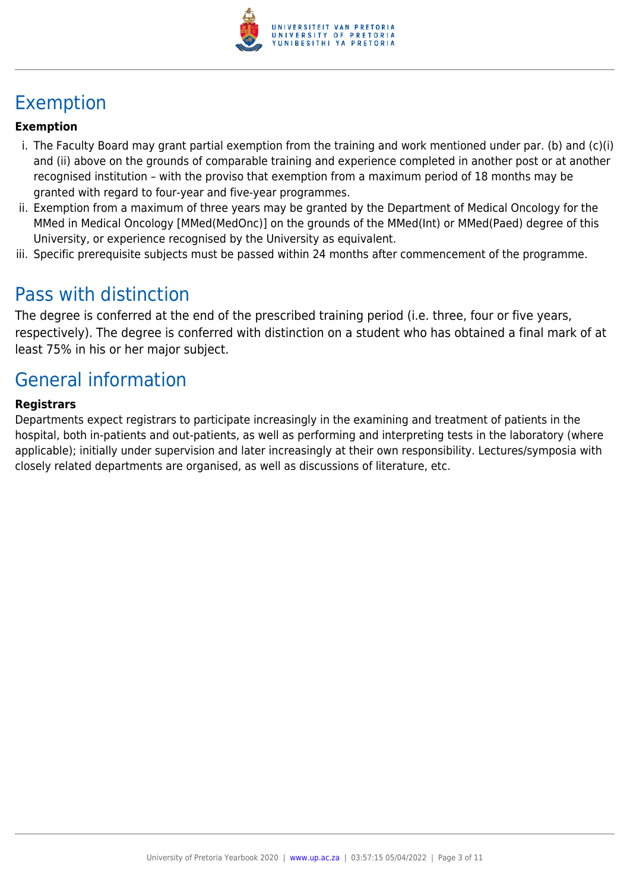

# Exemption

#### **Exemption**

- i. The Faculty Board may grant partial exemption from the training and work mentioned under par. (b) and (c)(i) and (ii) above on the grounds of comparable training and experience completed in another post or at another recognised institution – with the proviso that exemption from a maximum period of 18 months may be granted with regard to four-year and five-year programmes.
- ii. Exemption from a maximum of three years may be granted by the Department of Medical Oncology for the MMed in Medical Oncology [MMed(MedOnc)] on the grounds of the MMed(Int) or MMed(Paed) degree of this University, or experience recognised by the University as equivalent.
- iii. Specific prerequisite subjects must be passed within 24 months after commencement of the programme.

### Pass with distinction

The degree is conferred at the end of the prescribed training period (i.e. three, four or five years, respectively). The degree is conferred with distinction on a student who has obtained a final mark of at least 75% in his or her major subject.

### General information

#### **Registrars**

Departments expect registrars to participate increasingly in the examining and treatment of patients in the hospital, both in-patients and out-patients, as well as performing and interpreting tests in the laboratory (where applicable); initially under supervision and later increasingly at their own responsibility. Lectures/symposia with closely related departments are organised, as well as discussions of literature, etc.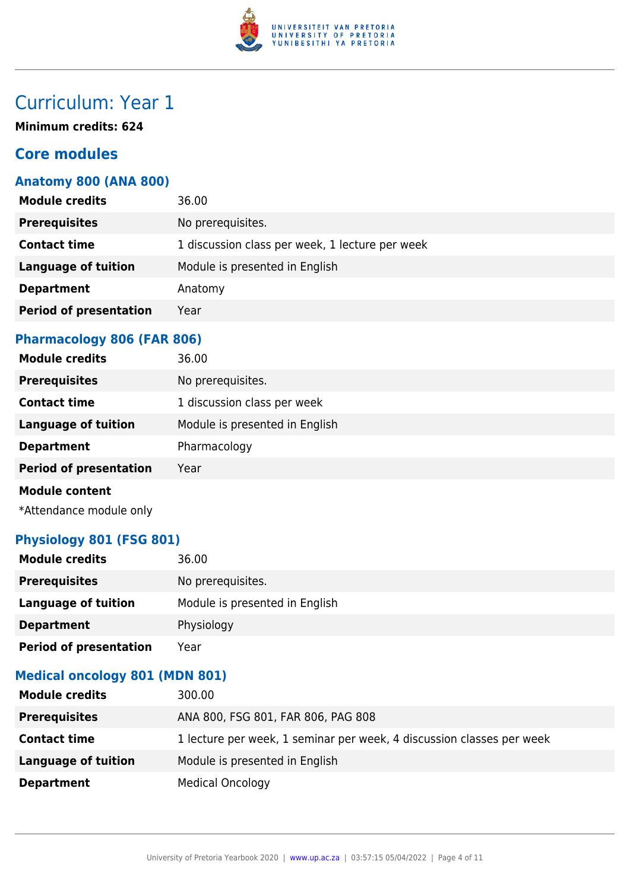

**Minimum credits: 624**

#### **Core modules**

#### **Anatomy 800 (ANA 800)**

| <b>Module credits</b>         | 36.00                                           |
|-------------------------------|-------------------------------------------------|
| <b>Prerequisites</b>          | No prerequisites.                               |
| <b>Contact time</b>           | 1 discussion class per week, 1 lecture per week |
| <b>Language of tuition</b>    | Module is presented in English                  |
| <b>Department</b>             | Anatomy                                         |
| <b>Period of presentation</b> | Year                                            |
|                               |                                                 |

#### **Pharmacology 806 (FAR 806)**

| <b>Module credits</b>         | 36.00                          |
|-------------------------------|--------------------------------|
| <b>Prerequisites</b>          | No prerequisites.              |
| <b>Contact time</b>           | 1 discussion class per week    |
| <b>Language of tuition</b>    | Module is presented in English |
| <b>Department</b>             | Pharmacology                   |
| <b>Period of presentation</b> | Year                           |
| <b>Module content</b>         |                                |

\*Attendance module only

#### **Physiology 801 (FSG 801)**

| <b>Module credits</b>         | 36.00                          |
|-------------------------------|--------------------------------|
| <b>Prerequisites</b>          | No prerequisites.              |
| Language of tuition           | Module is presented in English |
| <b>Department</b>             | Physiology                     |
| <b>Period of presentation</b> | Year                           |

#### **Medical oncology 801 (MDN 801)**

| <b>Module credits</b> | 300.00                                                                |
|-----------------------|-----------------------------------------------------------------------|
| <b>Prerequisites</b>  | ANA 800, FSG 801, FAR 806, PAG 808                                    |
| <b>Contact time</b>   | 1 lecture per week, 1 seminar per week, 4 discussion classes per week |
| Language of tuition   | Module is presented in English                                        |
| <b>Department</b>     | <b>Medical Oncology</b>                                               |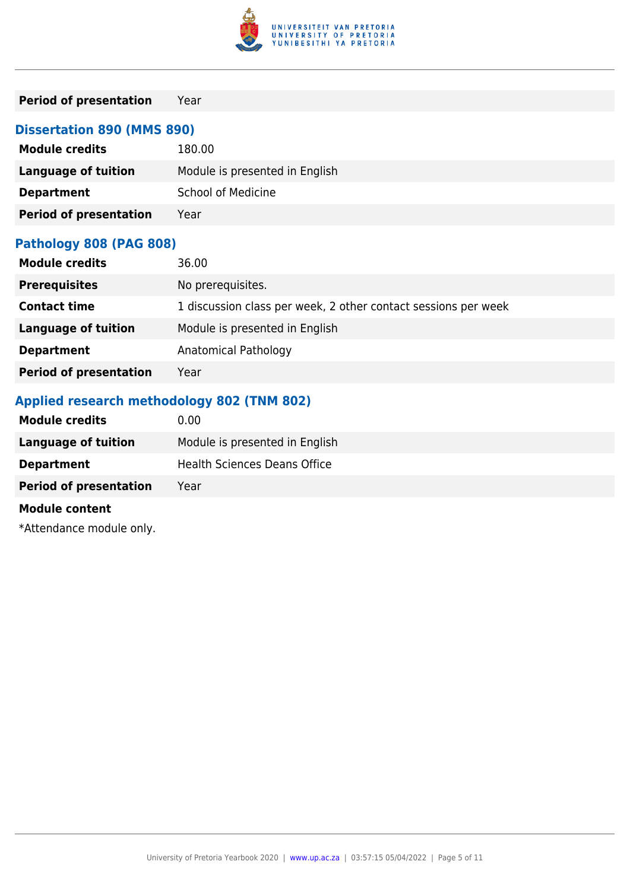

#### **Period of presentation** Year

#### **Dissertation 890 (MMS 890)**

| <b>Module credits</b>         | 180.00                         |
|-------------------------------|--------------------------------|
| <b>Language of tuition</b>    | Module is presented in English |
| <b>Department</b>             | <b>School of Medicine</b>      |
| <b>Period of presentation</b> | Year                           |

#### **Pathology 808 (PAG 808)**

| <b>Module credits</b>         | 36.00                                                          |
|-------------------------------|----------------------------------------------------------------|
| <b>Prerequisites</b>          | No prerequisites.                                              |
| <b>Contact time</b>           | 1 discussion class per week, 2 other contact sessions per week |
| Language of tuition           | Module is presented in English                                 |
| <b>Department</b>             | Anatomical Pathology                                           |
| <b>Period of presentation</b> | Year                                                           |

#### **Applied research methodology 802 (TNM 802)**

| <b>Module credits</b>         | 0.00 <sub>1</sub>                   |
|-------------------------------|-------------------------------------|
| <b>Language of tuition</b>    | Module is presented in English      |
| <b>Department</b>             | <b>Health Sciences Deans Office</b> |
| <b>Period of presentation</b> | Year                                |
| <b>Module content</b>         |                                     |
| *Attendance module only.      |                                     |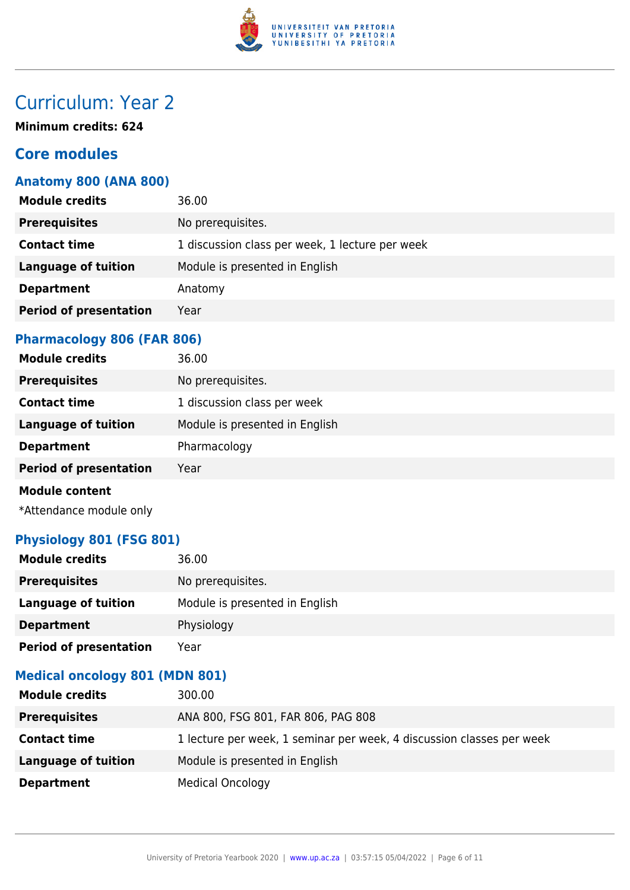

**Minimum credits: 624**

#### **Core modules**

#### **Anatomy 800 (ANA 800)**

| <b>Module credits</b>         | 36.00                                           |
|-------------------------------|-------------------------------------------------|
| <b>Prerequisites</b>          | No prerequisites.                               |
| <b>Contact time</b>           | 1 discussion class per week, 1 lecture per week |
| <b>Language of tuition</b>    | Module is presented in English                  |
| <b>Department</b>             | Anatomy                                         |
| <b>Period of presentation</b> | Year                                            |
|                               |                                                 |

#### **Pharmacology 806 (FAR 806)**

| <b>Module credits</b>         | 36.00                          |
|-------------------------------|--------------------------------|
| <b>Prerequisites</b>          | No prerequisites.              |
| <b>Contact time</b>           | 1 discussion class per week    |
| <b>Language of tuition</b>    | Module is presented in English |
| <b>Department</b>             | Pharmacology                   |
| <b>Period of presentation</b> | Year                           |
| <b>Module content</b>         |                                |

\*Attendance module only

#### **Physiology 801 (FSG 801)**

| <b>Module credits</b>         | 36.00                          |
|-------------------------------|--------------------------------|
| <b>Prerequisites</b>          | No prerequisites.              |
| Language of tuition           | Module is presented in English |
| <b>Department</b>             | Physiology                     |
| <b>Period of presentation</b> | Year                           |

#### **Medical oncology 801 (MDN 801)**

| <b>Module credits</b> | 300.00                                                                |
|-----------------------|-----------------------------------------------------------------------|
| <b>Prerequisites</b>  | ANA 800, FSG 801, FAR 806, PAG 808                                    |
| <b>Contact time</b>   | 1 lecture per week, 1 seminar per week, 4 discussion classes per week |
| Language of tuition   | Module is presented in English                                        |
| <b>Department</b>     | <b>Medical Oncology</b>                                               |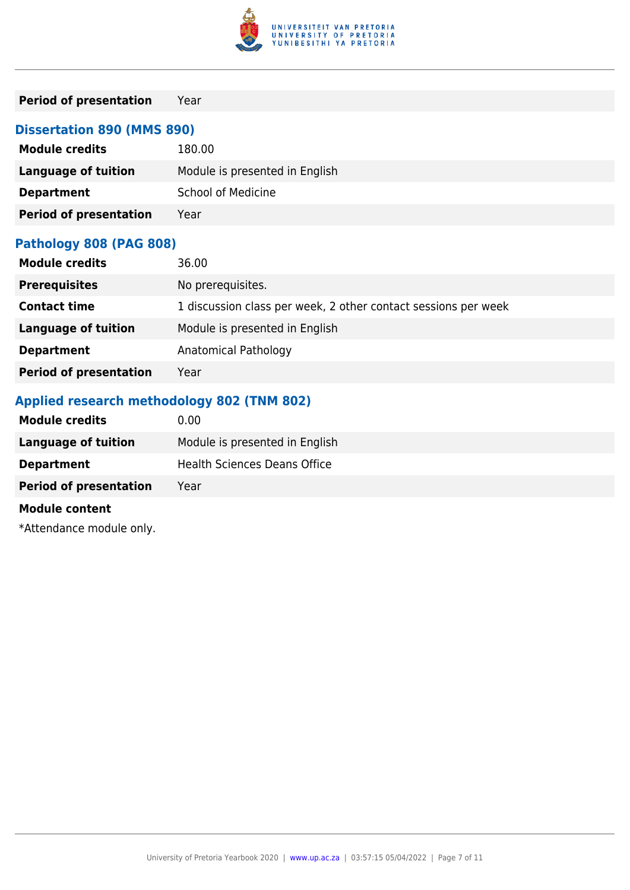

#### **Period of presentation** Year

#### **Dissertation 890 (MMS 890)**

| <b>Module credits</b>         | 180.00                         |
|-------------------------------|--------------------------------|
| <b>Language of tuition</b>    | Module is presented in English |
| <b>Department</b>             | <b>School of Medicine</b>      |
| <b>Period of presentation</b> | Year                           |

#### **Pathology 808 (PAG 808)**

| <b>Module credits</b>         | 36.00                                                          |
|-------------------------------|----------------------------------------------------------------|
| <b>Prerequisites</b>          | No prerequisites.                                              |
| <b>Contact time</b>           | 1 discussion class per week, 2 other contact sessions per week |
| Language of tuition           | Module is presented in English                                 |
| <b>Department</b>             | Anatomical Pathology                                           |
| <b>Period of presentation</b> | Year                                                           |

#### **Applied research methodology 802 (TNM 802)**

| <b>Module credits</b>         | 0.00 <sub>1</sub>                   |
|-------------------------------|-------------------------------------|
| <b>Language of tuition</b>    | Module is presented in English      |
| <b>Department</b>             | <b>Health Sciences Deans Office</b> |
| <b>Period of presentation</b> | Year                                |
| <b>Module content</b>         |                                     |
| *Attendance module only.      |                                     |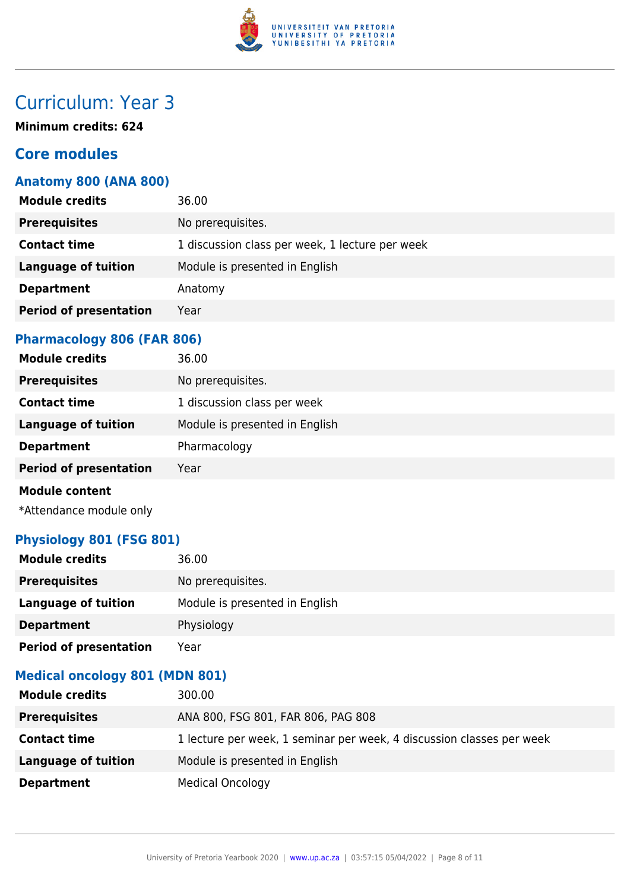

**Minimum credits: 624**

#### **Core modules**

#### **Anatomy 800 (ANA 800)**

| <b>Module credits</b>         | 36.00                                           |
|-------------------------------|-------------------------------------------------|
| <b>Prerequisites</b>          | No prerequisites.                               |
| <b>Contact time</b>           | 1 discussion class per week, 1 lecture per week |
| <b>Language of tuition</b>    | Module is presented in English                  |
| <b>Department</b>             | Anatomy                                         |
| <b>Period of presentation</b> | Year                                            |
|                               |                                                 |

#### **Pharmacology 806 (FAR 806)**

| <b>Module credits</b>         | 36.00                          |
|-------------------------------|--------------------------------|
| <b>Prerequisites</b>          | No prerequisites.              |
| <b>Contact time</b>           | 1 discussion class per week    |
| <b>Language of tuition</b>    | Module is presented in English |
| <b>Department</b>             | Pharmacology                   |
| <b>Period of presentation</b> | Year                           |
| <b>Module content</b>         |                                |

\*Attendance module only

#### **Physiology 801 (FSG 801)**

| <b>Module credits</b>         | 36.00                          |
|-------------------------------|--------------------------------|
| <b>Prerequisites</b>          | No prerequisites.              |
| Language of tuition           | Module is presented in English |
| <b>Department</b>             | Physiology                     |
| <b>Period of presentation</b> | Year                           |

#### **Medical oncology 801 (MDN 801)**

| <b>Module credits</b>      | 300.00                                                                |
|----------------------------|-----------------------------------------------------------------------|
| <b>Prerequisites</b>       | ANA 800, FSG 801, FAR 806, PAG 808                                    |
| <b>Contact time</b>        | 1 lecture per week, 1 seminar per week, 4 discussion classes per week |
| <b>Language of tuition</b> | Module is presented in English                                        |
| <b>Department</b>          | <b>Medical Oncology</b>                                               |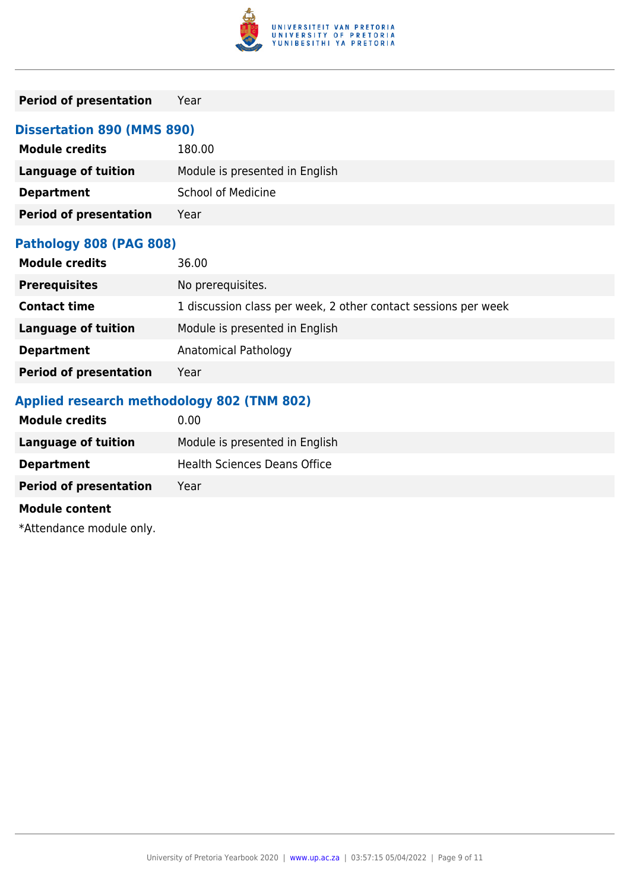

#### **Period of presentation** Year

#### **Dissertation 890 (MMS 890)**

| <b>Module credits</b>         | 180.00                         |
|-------------------------------|--------------------------------|
| <b>Language of tuition</b>    | Module is presented in English |
| <b>Department</b>             | <b>School of Medicine</b>      |
| <b>Period of presentation</b> | Year                           |

#### **Pathology 808 (PAG 808)**

| <b>Module credits</b>         | 36.00                                                          |
|-------------------------------|----------------------------------------------------------------|
| <b>Prerequisites</b>          | No prerequisites.                                              |
| <b>Contact time</b>           | 1 discussion class per week, 2 other contact sessions per week |
| Language of tuition           | Module is presented in English                                 |
| <b>Department</b>             | Anatomical Pathology                                           |
| <b>Period of presentation</b> | Year                                                           |

#### **Applied research methodology 802 (TNM 802)**

| <b>Module credits</b>         | 0.00 <sub>1</sub>                   |
|-------------------------------|-------------------------------------|
| <b>Language of tuition</b>    | Module is presented in English      |
| <b>Department</b>             | <b>Health Sciences Deans Office</b> |
| <b>Period of presentation</b> | Year                                |
| <b>Module content</b>         |                                     |
| *Attendance module only.      |                                     |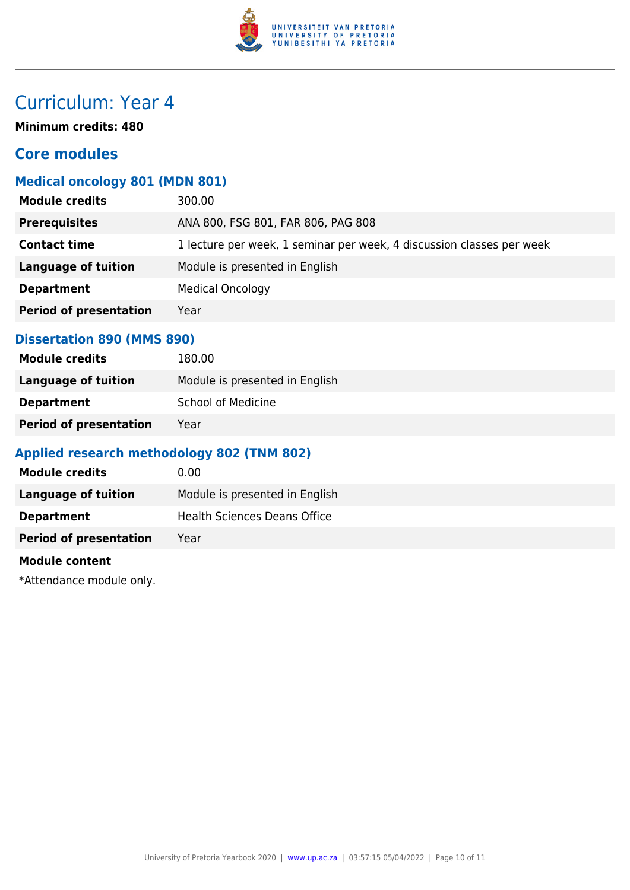

**Minimum credits: 480**

#### **Core modules**

#### **Medical oncology 801 (MDN 801)**

| <b>Module credits</b>         | 300.00                                                                |
|-------------------------------|-----------------------------------------------------------------------|
| <b>Prerequisites</b>          | ANA 800, FSG 801, FAR 806, PAG 808                                    |
| <b>Contact time</b>           | 1 lecture per week, 1 seminar per week, 4 discussion classes per week |
| <b>Language of tuition</b>    | Module is presented in English                                        |
| <b>Department</b>             | <b>Medical Oncology</b>                                               |
| <b>Period of presentation</b> | Year                                                                  |
|                               |                                                                       |

#### **Dissertation 890 (MMS 890)**

| <b>Module credits</b>         | 180.00                         |
|-------------------------------|--------------------------------|
| Language of tuition           | Module is presented in English |
| <b>Department</b>             | <b>School of Medicine</b>      |
| <b>Period of presentation</b> | Year                           |

#### **Applied research methodology 802 (TNM 802)**

| <b>Module credits</b>         | 0.00                                |
|-------------------------------|-------------------------------------|
| Language of tuition           | Module is presented in English      |
| <b>Department</b>             | <b>Health Sciences Deans Office</b> |
| <b>Period of presentation</b> | Year                                |

#### **Module content**

\*Attendance module only.